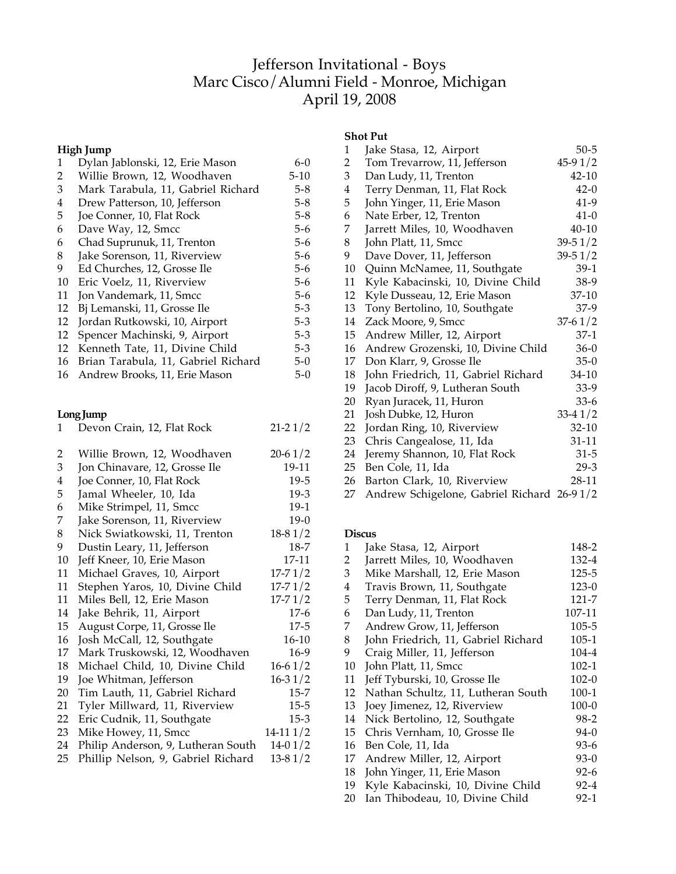# Jefferson Invitational - Boys Marc Cisco/Alumni Field - Monroe, Michigan April 19, 2008

## **High Jump**

| $\mathbf{1}$   | Dylan Jablonski, 12, Erie Mason     | $6 - 0$     |
|----------------|-------------------------------------|-------------|
| $\overline{c}$ | Willie Brown, 12, Woodhaven         | $5 - 10$    |
| 3              | Mark Tarabula, 11, Gabriel Richard  | $5 - 8$     |
| $\overline{4}$ | Drew Patterson, 10, Jefferson       | $5 - 8$     |
| 5              | Joe Conner, 10, Flat Rock           | $5 - 8$     |
| 6              | Dave Way, 12, Smcc                  | $5 - 6$     |
| 6              | Chad Suprunuk, 11, Trenton          | $5 - 6$     |
| 8              | Jake Sorenson, 11, Riverview        | $5 - 6$     |
| 9              | Ed Churches, 12, Grosse Ile         | $5-6$       |
| 10             | Eric Voelz, 11, Riverview           | $5-6$       |
| 11             | Jon Vandemark, 11, Smcc             | $5 - 6$     |
| 12             | Bj Lemanski, 11, Grosse Ile         | $5 - 3$     |
| 12             | Jordan Rutkowski, 10, Airport       | $5 - 3$     |
| 12             | Spencer Machinski, 9, Airport       | $5 - 3$     |
| 12             | Kenneth Tate, 11, Divine Child      | $5 - 3$     |
| 16             | Brian Tarabula, 11, Gabriel Richard | $5 - 0$     |
| 16             | Andrew Brooks, 11, Erie Mason       | $5-0$       |
|                | Long Jump                           |             |
| 1              | Devon Crain, 12, Flat Rock          | $21 - 21/2$ |
| 2              | Willie Brown, 12, Woodhaven         | $20 - 61/2$ |
| 3              | Jon Chinavare, 12, Grosse Ile       | 19-11       |
| 4              | Joe Conner, 10, Flat Rock           | 19-5        |
| 5              | Jamal Wheeler, 10, Ida              | $19-3$      |
| 6              | Mike Strimpel, 11, Smcc             | $19-1$      |
| 7              | Jake Sorenson, 11, Riverview        | $19-0$      |
| 8              | Nick Swiatkowski, 11, Trenton       | $18-81/2$   |
| 9              | Dustin Leary, 11, Jefferson         | 18-7        |
| 10             | Jeff Kneer, 10, Erie Mason          | 17-11       |
| 11             | Michael Graves, 10, Airport         | $17 - 71/2$ |
| 11             | Stephen Yaros, 10, Divine Child     | $17 - 71/2$ |
| 11             | Miles Bell, 12, Erie Mason          | $17 - 71/2$ |
| 14             | Jake Behrik, 11, Airport            | $17-6$      |
| 15             | August Corpe, 11, Grosse Ile        | $17 - 5$    |
| 16             | Josh McCall, 12, Southgate          | $16 - 10$   |
| 17             | Mark Truskowski, 12, Woodhaven      | $16-9$      |

| 18 Michael Child, 10, Divine Child | $16-61/2$                                                   |
|------------------------------------|-------------------------------------------------------------|
| 19 Joe Whitman, Jefferson          | $16 - 31/2$                                                 |
| 20 Tim Lauth, 11, Gabriel Richard  | $15 - 7$                                                    |
| 21 Tyler Millward, 11, Riverview   | $15 - 5$                                                    |
| 22 Eric Cudnik, 11, Southgate      | $15-3$                                                      |
| 23 Mike Howey, 11, Smcc            | $14-111/2$                                                  |
|                                    | $\overline{a}$ $\overline{a}$ $\overline{a}$ $\overline{a}$ |

- 24 Philip Anderson, 9, Lutheran South 14-0 1/2<br>25 Phillip Nelson, 9, Gabriel Richard 13-8 1/2
- 25 Phillip Nelson, 9, Gabriel Richard

# **Shot Put**

| 1                       | Jake Stasa, 12, Airport                    | $50 - 5$    |
|-------------------------|--------------------------------------------|-------------|
| $\overline{c}$          | Tom Trevarrow, 11, Jefferson               | $45-91/2$   |
| 3                       | Dan Ludy, 11, Trenton                      | $42 - 10$   |
| $\overline{\mathbf{4}}$ | Terry Denman, 11, Flat Rock                | $42-0$      |
| 5                       | John Yinger, 11, Erie Mason                | $41-9$      |
| 6                       | Nate Erber, 12, Trenton                    | $41-0$      |
| 7                       | Jarrett Miles, 10, Woodhaven               | $40 - 10$   |
| 8                       | John Platt, 11, Smcc                       | $39 - 51/2$ |
| 9                       | Dave Dover, 11, Jefferson                  | $39 - 51/2$ |
| 10                      | Quinn McNamee, 11, Southgate               | $39-1$      |
| 11                      | Kyle Kabacinski, 10, Divine Child          | 38-9        |
| 12                      | Kyle Dusseau, 12, Erie Mason               | 37-10       |
| 13                      | Tony Bertolino, 10, Southgate              | $37-9$      |
| 14                      | Zack Moore, 9, Smcc                        | $37-61/2$   |
| 15                      | Andrew Miller, 12, Airport                 | 37-1        |
| 16                      | Andrew Grozenski, 10, Divine Child         | $36-0$      |
| 17                      | Don Klarr, 9, Grosse Ile                   | $35-0$      |
| 18                      | John Friedrich, 11, Gabriel Richard        | 34-10       |
| 19                      | Jacob Diroff, 9, Lutheran South            | 33-9        |
| 20                      | Ryan Juracek, 11, Huron                    | $33-6$      |
| 21                      | Josh Dubke, 12, Huron                      | $33-41/2$   |
| 22                      | Jordan Ring, 10, Riverview                 | 32-10       |
| 23                      | Chris Cangealose, 11, Ida                  | 31-11       |
| 24                      | Jeremy Shannon, 10, Flat Rock              | $31 - 5$    |
| 25                      | Ben Cole, 11, Ida                          | $29-3$      |
| 26                      | Barton Clark, 10, Riverview                | 28-11       |
| 27                      | Andrew Schigelone, Gabriel Richard 26-91/2 |             |
|                         |                                            |             |

#### **Discus**

| 1  | Jake Stasa, 12, Airport             | 148-2     |
|----|-------------------------------------|-----------|
| 2  | Jarrett Miles, 10, Woodhaven        | 132-4     |
| 3  | Mike Marshall, 12, Erie Mason       | 125-5     |
| 4  | Travis Brown, 11, Southgate         | $123-0$   |
| 5  | Terry Denman, 11, Flat Rock         | 121-7     |
| 6  | Dan Ludy, 11, Trenton               | 107-11    |
| 7  | Andrew Grow, 11, Jefferson          | 105-5     |
| 8  | John Friedrich, 11, Gabriel Richard | $105-1$   |
| 9  | Craig Miller, 11, Jefferson         | 104-4     |
| 10 | John Platt, 11, Smcc                | 102-1     |
| 11 | Jeff Tyburski, 10, Grosse Ile       | $102 - 0$ |
| 12 | Nathan Schultz, 11, Lutheran South  | $100-1$   |
| 13 | Joey Jimenez, 12, Riverview         | $100 - 0$ |
| 14 | Nick Bertolino, 12, Southgate       | 98-2      |
| 15 | Chris Vernham, 10, Grosse Ile       | $94-0$    |
| 16 | Ben Cole, 11, Ida                   | 93-6      |
| 17 | Andrew Miller, 12, Airport          | $93-0$    |
| 18 | John Yinger, 11, Erie Mason         | $92-6$    |
| 19 | Kyle Kabacinski, 10, Divine Child   | 92-4      |
| 20 | Ian Thibodeau, 10, Divine Child     | $92-1$    |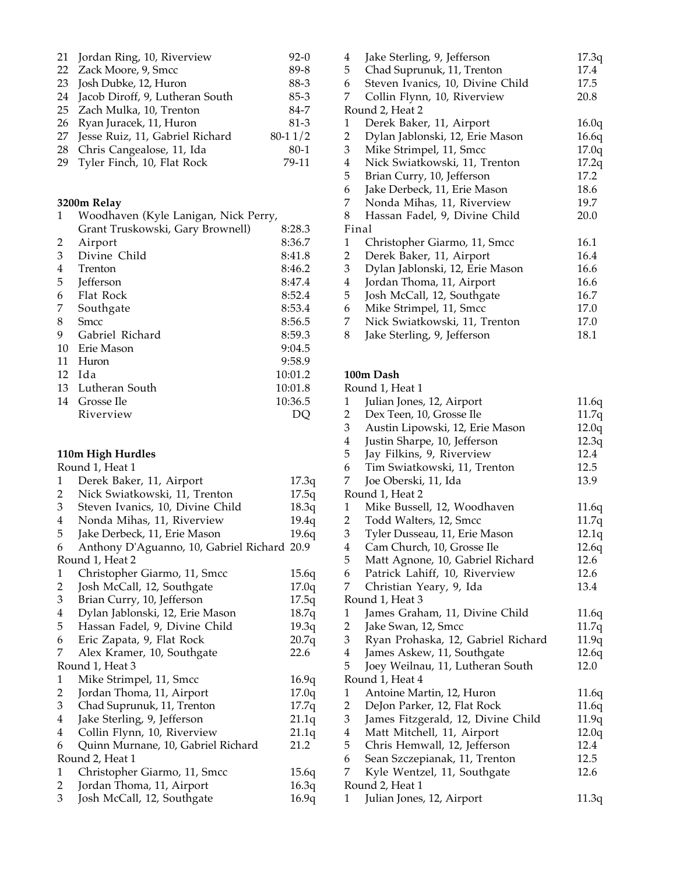| 21 Jordan Ring, 10, Riverview      | $92-0$      |
|------------------------------------|-------------|
| 22 Zack Moore, 9, Smcc             | 89-8        |
| 23 Josh Dubke, 12, Huron           | 88-3        |
| 24 Jacob Diroff, 9, Lutheran South | $85 - 3$    |
| 25 Zach Mulka, 10, Trenton         | 84-7        |
| 26 Ryan Juracek, 11, Huron         | $81-3$      |
| 27 Jesse Ruiz, 11, Gabriel Richard | $80 - 11/2$ |
| 28 Chris Cangealose, 11, Ida       | $80-1$      |
| 29 Tyler Finch, 10, Flat Rock      | 79-11       |

#### **3200m Relay**

| 1  | Woodhaven (Kyle Lanigan, Nick Perry, |         |  |
|----|--------------------------------------|---------|--|
|    | Grant Truskowski, Gary Brownell)     | 8:28.3  |  |
| 2  | Airport                              | 8:36.7  |  |
| 3  | Divine Child                         | 8:41.8  |  |
| 4  | Trenton                              | 8:46.2  |  |
| 5  | <b>Jefferson</b>                     | 8:47.4  |  |
| 6  | Flat Rock                            | 8:52.4  |  |
| 7  | Southgate                            | 8:53.4  |  |
| 8  | <b>Smcc</b>                          | 8:56.5  |  |
| 9  | Gabriel Richard                      | 8:59.3  |  |
| 10 | Erie Mason                           | 9:04.5  |  |
| 11 | Huron                                | 9:58.9  |  |
| 12 | Ida                                  | 10:01.2 |  |
| 13 | Lutheran South                       | 10:01.8 |  |
| 14 | Grosse Ile                           | 10:36.5 |  |
|    | Riverview                            |         |  |
|    |                                      |         |  |

#### **110m High Hurdles**

|   | Round 1, Heat 1                             |       |
|---|---------------------------------------------|-------|
| 1 | Derek Baker, 11, Airport                    | 17.3q |
| 2 | Nick Swiatkowski, 11, Trenton               | 17.5q |
| 3 | Steven Ivanics, 10, Divine Child            | 18.3q |
| 4 | Nonda Mihas, 11, Riverview                  | 19.4q |
| 5 | Jake Derbeck, 11, Erie Mason                | 19.6q |
| 6 | Anthony D'Aguanno, 10, Gabriel Richard 20.9 |       |
|   | Round 1, Heat 2                             |       |
| 1 | Christopher Giarmo, 11, Smcc                | 15.6q |
| 2 | Josh McCall, 12, Southgate                  | 17.0q |
| 3 | Brian Curry, 10, Jefferson                  | 17.5q |
| 4 | Dylan Jablonski, 12, Erie Mason             | 18.7q |
| 5 | Hassan Fadel, 9, Divine Child               | 19.3q |
| 6 | Eric Zapata, 9, Flat Rock                   | 20.7q |
| 7 | Alex Kramer, 10, Southgate                  | 22.6  |
|   | Round 1, Heat 3                             |       |
| 1 | Mike Strimpel, 11, Smcc                     | 16.9q |
| 2 | Jordan Thoma, 11, Airport                   | 17.0q |
| 3 | Chad Suprunuk, 11, Trenton                  | 17.7q |
| 4 | Jake Sterling, 9, Jefferson                 | 21.1q |
| 4 | Collin Flynn, 10, Riverview                 | 21.1q |
| 6 | Quinn Murnane, 10, Gabriel Richard          | 21.2  |
|   | Round 2, Heat 1                             |       |
| 1 | Christopher Giarmo, 11, Smcc                | 15.6q |
| 2 | Jordan Thoma, 11, Airport                   | 16.3q |
| 3 | Josh McCall, 12, Southgate                  | 16.9q |
|   |                                             |       |

| 4<br>5                  | Jake Sterling, 9, Jefferson<br>Chad Suprunuk, 11, Trenton | 17.3q<br>17.4 |
|-------------------------|-----------------------------------------------------------|---------------|
| 6                       | Steven Ivanics, 10, Divine Child                          | 17.5          |
| 7                       | Collin Flynn, 10, Riverview                               | 20.8          |
|                         | Round 2, Heat 2                                           |               |
| 1                       | Derek Baker, 11, Airport                                  | 16.0q         |
| $\overline{2}$          | Dylan Jablonski, 12, Erie Mason                           | 16.6q         |
| 3                       | Mike Strimpel, 11, Smcc                                   | 17.0q         |
| $\overline{4}$          | Nick Swiatkowski, 11, Trenton                             | 17.2q         |
| 5                       | Brian Curry, 10, Jefferson                                | 17.2          |
| 6                       | Jake Derbeck, 11, Erie Mason                              | 18.6          |
| 7                       | Nonda Mihas, 11, Riverview                                | 19.7          |
| 8                       | Hassan Fadel, 9, Divine Child                             | 20.0          |
|                         | Final                                                     |               |
| 1                       | Christopher Giarmo, 11, Smcc                              | 16.1          |
| 2                       | Derek Baker, 11, Airport                                  | 16.4          |
| 3                       | Dylan Jablonski, 12, Erie Mason                           | 16.6          |
| $\overline{\mathbf{4}}$ | Jordan Thoma, 11, Airport                                 | 16.6          |
| 5                       | Josh McCall, 12, Southgate                                | 16.7          |
| 6                       | Mike Strimpel, 11, Smcc                                   | 17.0          |
| 7                       | Nick Swiatkowski, 11, Trenton                             | 17.0          |
| 8                       | Jake Sterling, 9, Jefferson                               | 18.1          |
|                         |                                                           |               |

#### **100m Dash** Round 1, Heat 1

|                         | ROUNG 1, FIEAL I                   |       |  |  |  |
|-------------------------|------------------------------------|-------|--|--|--|
| 1                       | Julian Jones, 12, Airport          | 11.6q |  |  |  |
| $\overline{2}$          | Dex Teen, 10, Grosse Ile           | 11.7q |  |  |  |
| 3                       | Austin Lipowski, 12, Erie Mason    | 12.0q |  |  |  |
| $\overline{4}$          | Justin Sharpe, 10, Jefferson       | 12.3q |  |  |  |
| 5                       | Jay Filkins, 9, Riverview          | 12.4  |  |  |  |
| 6                       | Tim Swiatkowski, 11, Trenton       | 12.5  |  |  |  |
| 7                       | Joe Oberski, 11, Ida               | 13.9  |  |  |  |
|                         | Round 1, Heat 2                    |       |  |  |  |
| $\mathbf{1}$            | Mike Bussell, 12, Woodhaven        | 11.6q |  |  |  |
| $\overline{2}$          | Todd Walters, 12, Smcc             | 11.7q |  |  |  |
| 3                       | Tyler Dusseau, 11, Erie Mason      | 12.1q |  |  |  |
| $\overline{4}$          | Cam Church, 10, Grosse Ile         | 12.6q |  |  |  |
| 5                       | Matt Agnone, 10, Gabriel Richard   | 12.6  |  |  |  |
| 6                       | Patrick Lahiff, 10, Riverview      | 12.6  |  |  |  |
| 7                       | Christian Yeary, 9, Ida            | 13.4  |  |  |  |
| Round 1, Heat 3         |                                    |       |  |  |  |
| $\mathbf{1}$            | James Graham, 11, Divine Child     | 11.6q |  |  |  |
| $\overline{2}$          | Jake Swan, 12, Smcc                | 11.7q |  |  |  |
| 3                       | Ryan Prohaska, 12, Gabriel Richard | 11.9q |  |  |  |
| 4                       | James Askew, 11, Southgate         | 12.6q |  |  |  |
| 5                       | Joey Weilnau, 11, Lutheran South   | 12.0  |  |  |  |
|                         | Round 1, Heat 4                    |       |  |  |  |
| $\mathbf{1}$            | Antoine Martin, 12, Huron          | 11.6q |  |  |  |
| 2                       | DeJon Parker, 12, Flat Rock        | 11.6q |  |  |  |
| 3                       | James Fitzgerald, 12, Divine Child | 11.9q |  |  |  |
| $\overline{\mathbf{4}}$ | Matt Mitchell, 11, Airport         | 12.0q |  |  |  |
| 5                       | Chris Hemwall, 12, Jefferson       | 12.4  |  |  |  |
| 6                       | Sean Szczepianak, 11, Trenton      | 12.5  |  |  |  |
| 7                       | Kyle Wentzel, 11, Southgate        | 12.6  |  |  |  |
| Round 2, Heat 1         |                                    |       |  |  |  |
| 1                       | Julian Jones, 12, Airport          | 11.3q |  |  |  |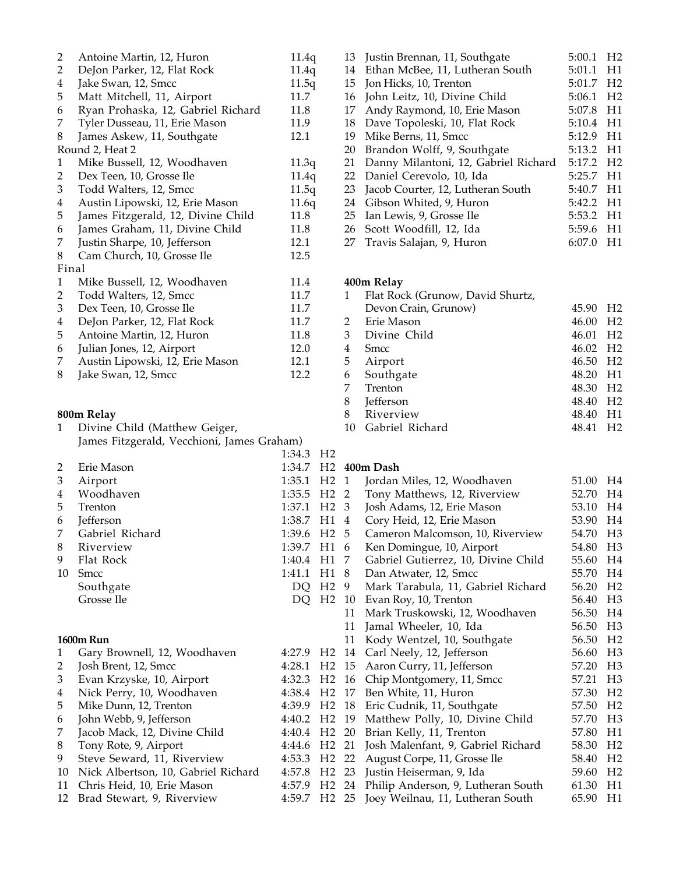| 2              | Antoine Martin, 12, Huron          | 11.4q |
|----------------|------------------------------------|-------|
| $\overline{2}$ | DeJon Parker, 12, Flat Rock        | 11.4q |
| $\overline{4}$ | Jake Swan, 12, Smcc                | 11.5q |
| 5              | Matt Mitchell, 11, Airport         | 11.7  |
| 6              | Ryan Prohaska, 12, Gabriel Richard | 11.8  |
| 7              | Tyler Dusseau, 11, Erie Mason      | 11.9  |
| 8              | James Askew, 11, Southgate         | 12.1  |
|                | Round 2, Heat 2                    |       |
| 1              | Mike Bussell, 12, Woodhaven        | 11.3q |
| 2              | Dex Teen, 10, Grosse Ile           | 11.4q |
| 3              | Todd Walters, 12, Smcc             | 11.5q |
| 4              | Austin Lipowski, 12, Erie Mason    | 11.6q |
| 5              | James Fitzgerald, 12, Divine Child | 11.8  |
| 6              | James Graham, 11, Divine Child     | 11.8  |
| 7              | Justin Sharpe, 10, Jefferson       | 12.1  |
| 8              | Cam Church, 10, Grosse Ile         | 12.5  |
|                | Final                              |       |
| 1              | Mike Bussell, 12, Woodhaven        | 11.4  |
| 2              | Todd Walters, 12, Smcc             | 11.7  |
| 3              | Dex Teen, 10, Grosse Ile           | 11.7  |
| 4              | DeJon Parker, 12, Flat Rock        | 11.7  |
| 5              | Antoine Martin, 12, Huron          | 11.8  |
| 6              | Julian Jones, 12, Airport          | 12.0  |
| 7              | Austin Lipowski, 12, Erie Mason    | 12.1  |
| 8              | Jake Swan, 12, Smcc                | 12.2  |
|                |                                    |       |

### **800m Relay**

1 Divine Child (Matthew Geiger, James Fitzgerald, Vecchioni, James Graham)

1:34.3 H2 2 Erie Mason 3 Airport 1:35.1 4 Woodhaven 1:35.5 5 Trenton 1:37.1 6 **Jefferson** 1:38.7 7 Gabriel Richard 1:39.6 8 Riverview 1:39.7 9 Flat Rock 1:40.4 10 Smcc 1:41.1 Southgate DQ Grosse Ile DQ

#### **1600m Run**

1 Gary Brownell, 12, Woodhaven 4:27.9 2 Josh Brent, 12, Smcc 4:28.1 3 Evan Krzyske, 10, Airport 4:32.3 4 Nick Perry, 10, Woodhaven 4:38.4 5 Mike Dunn, 12, Trenton 4:39.9 6 John Webb, 9, Jefferson 4:40.2<br>7 Jacob Mack, 12, Divine Child 4:40.4 7 Jacob Mack, 12, Divine Child 8 Tony Rote, 9, Airport 4:44.6 9 Steve Seward, 11, Riverview 4:53.3 10 Nick Albertson, 10, Gabriel Richard 4:57.8 11 Chris Heid, 10, Erie Mason 4:57.9 12 Brad Stewart, 9, Riverview 4:59.7

| 13 | Justin Brennan, 11, Southgate        | 5:00.1 | H <sub>2</sub> |
|----|--------------------------------------|--------|----------------|
| 14 | Ethan McBee, 11, Lutheran South      | 5:01.1 | H1             |
| 15 | Jon Hicks, 10, Trenton               | 5:01.7 | H <sub>2</sub> |
| 16 | John Leitz, 10, Divine Child         | 5:06.1 | H <sub>2</sub> |
| 17 | Andy Raymond, 10, Erie Mason         | 5:07.8 | H1             |
| 18 | Dave Topoleski, 10, Flat Rock        | 5:10.4 | H1             |
| 19 | Mike Berns, 11, Smcc                 | 5:12.9 | H1             |
| 20 | Brandon Wolff, 9, Southgate          | 5:13.2 | H1             |
| 21 | Danny Milantoni, 12, Gabriel Richard | 5:17.2 | H <sub>2</sub> |
| 22 | Daniel Cerevolo, 10, Ida             | 5:25.7 | H1             |
| 23 | Jacob Courter, 12, Lutheran South    | 5:40.7 | H1             |
| 24 | Gibson Whited, 9, Huron              | 5:42.2 | H1             |
| 25 | Ian Lewis, 9, Grosse Ile             | 5:53.2 | H1             |
|    | 26 Scott Woodfill, 12, Ida           | 5:59.6 | H1             |
| 27 | Travis Salajan, 9, Huron             | 6:07.0 | H1             |

## **400m Relay** 1 Flat Rock (Grunow, David Shurtz, Devon Crain, Grunow) 45.90 H2 2 Erie Mason 46.00 H2 3 Divine Child 46.01 H2 4 Smcc 46.02 H2 5 Airport 46.50 H2 6 Southgate 48.20 H1 7 Trenton 48.30 H2<br>8 Jefferson 48.40 H2 48.40 H2 8 Riverview 48.40 H1 10 Gabriel Richard 48.41 H2

## 1:34.7 H<sub>2</sub> 400m Dash

| H <sub>2</sub> | $\mathbf{1}$ | Jordan Miles, 12, Woodhaven         | 51.00 | H4             |
|----------------|--------------|-------------------------------------|-------|----------------|
| H <sub>2</sub> | 2            | Tony Matthews, 12, Riverview        | 52.70 | H4             |
| H <sub>2</sub> | 3            | Josh Adams, 12, Erie Mason          | 53.10 | H <sub>4</sub> |
| H1             | 4            | Cory Heid, 12, Erie Mason           | 53.90 | H <sub>4</sub> |
| H <sub>2</sub> | 5            | Cameron Malcomson, 10, Riverview    | 54.70 | H <sub>3</sub> |
| H1             | 6            | Ken Domingue, 10, Airport           | 54.80 | H <sub>3</sub> |
| H1             | 7            | Gabriel Gutierrez, 10, Divine Child | 55.60 | H4             |
| H1             | 8            | Dan Atwater, 12, Smcc               | 55.70 | H <sub>4</sub> |
| H <sub>2</sub> | 9            | Mark Tarabula, 11, Gabriel Richard  | 56.20 | H <sub>2</sub> |
| H <sub>2</sub> | 10           | Evan Roy, 10, Trenton               | 56.40 | H <sub>3</sub> |
|                | 11           | Mark Truskowski, 12, Woodhaven      | 56.50 | H <sub>4</sub> |
|                | 11           | Jamal Wheeler, 10, Ida              | 56.50 | H <sub>3</sub> |
|                | 11           | Kody Wentzel, 10, Southgate         | 56.50 | H <sub>2</sub> |
| H <sub>2</sub> | 14           | Carl Neely, 12, Jefferson           | 56.60 | H <sub>3</sub> |
| H <sub>2</sub> | 15           | Aaron Curry, 11, Jefferson          | 57.20 | H <sub>3</sub> |
| H <sub>2</sub> | 16           | Chip Montgomery, 11, Smcc           | 57.21 | H <sub>3</sub> |
| H <sub>2</sub> | 17           | Ben White, 11, Huron                | 57.30 | H <sub>2</sub> |
| H <sub>2</sub> | 18           | Eric Cudnik, 11, Southgate          | 57.50 | H <sub>2</sub> |
| H <sub>2</sub> | 19           | Matthew Polly, 10, Divine Child     | 57.70 | H <sub>3</sub> |
| H <sub>2</sub> | 20           | Brian Kelly, 11, Trenton            | 57.80 | H1             |
| H <sub>2</sub> | 21           | Josh Malenfant, 9, Gabriel Richard  | 58.30 | H <sub>2</sub> |
| H <sub>2</sub> | 22           | August Corpe, 11, Grosse Ile        | 58.40 | H <sub>2</sub> |
| H <sub>2</sub> | 23           | Justin Heiserman, 9, Ida            | 59.60 | H <sub>2</sub> |
| H <sub>2</sub> | 24           | Philip Anderson, 9, Lutheran South  | 61.30 | H1             |
| H <sub>2</sub> | 25           | Joey Weilnau, 11, Lutheran South    | 65.90 | H1             |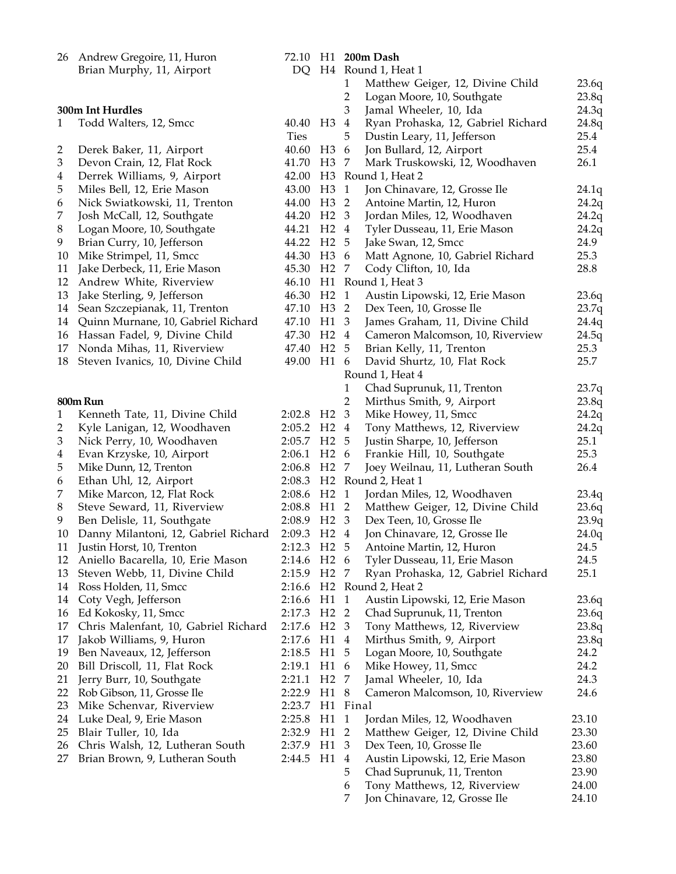|        | 26 Andrew Gregoire, 11, Huron                               |                         |                  |                         | 72.10 H1 200m Dash                                   |                |
|--------|-------------------------------------------------------------|-------------------------|------------------|-------------------------|------------------------------------------------------|----------------|
|        | Brian Murphy, 11, Airport                                   |                         |                  |                         | DQ H4 Round 1, Heat 1                                |                |
|        |                                                             |                         |                  | 1                       | Matthew Geiger, 12, Divine Child                     | 23.6q          |
|        |                                                             |                         |                  | $\overline{2}$          | Logan Moore, 10, Southgate                           | 23.8q          |
|        | 300m Int Hurdles                                            |                         |                  | 3                       | Jamal Wheeler, 10, Ida                               | 24.3q          |
| 1      | Todd Walters, 12, Smcc                                      | 40.40 H3 4              |                  |                         | Ryan Prohaska, 12, Gabriel Richard                   | 24.8q          |
|        |                                                             | <b>Ties</b>             |                  | 5                       | Dustin Leary, 11, Jefferson                          | 25.4<br>25.4   |
| 2      | Derek Baker, 11, Airport                                    | 40.60<br>41.70          | H3<br>H3 7       | - 6                     | Jon Bullard, 12, Airport                             | 26.1           |
| 3      | Devon Crain, 12, Flat Rock<br>Derrek Williams, 9, Airport   | 42.00                   |                  |                         | Mark Truskowski, 12, Woodhaven<br>H3 Round 1, Heat 2 |                |
| 4<br>5 |                                                             | 43.00                   | H <sub>3</sub>   | $\overline{1}$          | Jon Chinavare, 12, Grosse Ile                        | 24.1q          |
| 6      | Miles Bell, 12, Erie Mason<br>Nick Swiatkowski, 11, Trenton | 44.00                   | H <sub>3</sub> 2 |                         | Antoine Martin, 12, Huron                            |                |
| 7      | Josh McCall, 12, Southgate                                  | 44.20                   | H2 <sub>3</sub>  |                         | Jordan Miles, 12, Woodhaven                          | 24.2q<br>24.2q |
| 8      | Logan Moore, 10, Southgate                                  | 44.21                   | $H2$ 4           |                         | Tyler Dusseau, 11, Erie Mason                        | 24.2q          |
| 9      | Brian Curry, 10, Jefferson                                  | 44.22                   | H <sub>2</sub> 5 |                         | Jake Swan, 12, Smcc                                  | 24.9           |
| 10     | Mike Strimpel, 11, Smcc                                     | 44.30                   | H <sub>3</sub> 6 |                         | Matt Agnone, 10, Gabriel Richard                     | 25.3           |
| 11     | Jake Derbeck, 11, Erie Mason                                | 45.30                   | H <sub>2</sub> 7 |                         | Cody Clifton, 10, Ida                                | 28.8           |
| 12     | Andrew White, Riverview                                     |                         |                  |                         | 46.10 H1 Round 1, Heat 3                             |                |
| 13     | Jake Sterling, 9, Jefferson                                 | 46.30 H <sub>2</sub> 1  |                  |                         | Austin Lipowski, 12, Erie Mason                      | 23.6q          |
| 14     | Sean Szczepianak, 11, Trenton                               | 47.10 H3 2              |                  |                         | Dex Teen, 10, Grosse Ile                             | 23.7q          |
| 14     | Quinn Murnane, 10, Gabriel Richard                          | 47.10 H1 3              |                  |                         | James Graham, 11, Divine Child                       | 24.4q          |
| 16     | Hassan Fadel, 9, Divine Child                               | 47.30                   | H <sub>2</sub> 4 |                         | Cameron Malcomson, 10, Riverview                     | 24.5q          |
| 17     | Nonda Mihas, 11, Riverview                                  | 47.40                   | H <sub>2</sub> 5 |                         | Brian Kelly, 11, Trenton                             | 25.3           |
| 18     | Steven Ivanics, 10, Divine Child                            | 49.00 H1 6              |                  |                         | David Shurtz, 10, Flat Rock                          | 25.7           |
|        |                                                             |                         |                  |                         | Round 1, Heat 4                                      |                |
|        |                                                             |                         |                  | 1                       | Chad Suprunuk, 11, Trenton                           | 23.7q          |
|        | 800m Run                                                    |                         |                  | $\overline{2}$          | Mirthus Smith, 9, Airport                            | 23.8q          |
| 1      | Kenneth Tate, 11, Divine Child                              | 2:02.8 H <sub>2</sub> 3 |                  |                         | Mike Howey, 11, Smcc                                 | 24.2q          |
| 2      | Kyle Lanigan, 12, Woodhaven                                 | 2:05.2 H2 4             |                  |                         | Tony Matthews, 12, Riverview                         | 24.2q          |
| 3      | Nick Perry, 10, Woodhaven                                   | 2:05.7 H2 5             |                  |                         | Justin Sharpe, 10, Jefferson                         | 25.1           |
| 4      | Evan Krzyske, 10, Airport                                   | 2:06.1                  | H <sub>2</sub> 6 |                         | Frankie Hill, 10, Southgate                          | 25.3           |
| 5      | Mike Dunn, 12, Trenton                                      | 2:06.8                  | H2 7             |                         | Joey Weilnau, 11, Lutheran South                     | 26.4           |
| 6      | Ethan Uhl, 12, Airport                                      |                         |                  |                         | 2:08.3 H2 Round 2, Heat 1                            |                |
| 7      | Mike Marcon, 12, Flat Rock                                  | 2:08.6 H <sub>2</sub> 1 |                  |                         | Jordan Miles, 12, Woodhaven                          | 23.4q          |
| 8      | Steve Seward, 11, Riverview                                 | 2:08.8 H1 2             |                  |                         | Matthew Geiger, 12, Divine Child                     | 23.6q          |
| 9      | Ben Delisle, 11, Southgate                                  | 2:08.9 H2 3             |                  |                         | Dex Teen, 10, Grosse Ile                             | 23.9q          |
| 10     | Danny Milantoni, 12, Gabriel Richard                        | 2:09.3 H2 4             |                  |                         | Jon Chinavare, 12, Grosse Ile                        | 24.0q          |
| 11     | Justin Horst, 10, Trenton                                   | 2:12.3 H2 5             |                  |                         | Antoine Martin, 12, Huron                            | 24.5           |
| 12     | Aniello Bacarella, 10, Erie Mason                           | 2:14.6 H2 6             |                  |                         | Tyler Dusseau, 11, Erie Mason                        | 24.5           |
| 13     | Steven Webb, 11, Divine Child                               | 2:15.9 H2               |                  | - 7                     | Ryan Prohaska, 12, Gabriel Richard                   | 25.1           |
| 14     | Ross Holden, 11, Smcc                                       |                         |                  |                         | 2:16.6 H2 Round 2, Heat 2                            |                |
| 14     | Coty Vegh, Jefferson                                        | 2:16.6                  | H1               | $\mathbf{1}$            | Austin Lipowski, 12, Erie Mason                      | 23.6q          |
| 16     | Ed Kokosky, 11, Smcc                                        | 2:17.3                  | H <sub>2</sub>   | $\overline{2}$          | Chad Suprunuk, 11, Trenton                           | 23.6q          |
| 17     | Chris Malenfant, 10, Gabriel Richard                        | 2:17.6                  | H <sub>2</sub>   | $\overline{\mathbf{3}}$ | Tony Matthews, 12, Riverview                         | 23.8q          |
| 17     | Jakob Williams, 9, Huron                                    | 2:17.6                  | H1               | $\overline{4}$          | Mirthus Smith, 9, Airport                            | 23.8q          |
| 19     | Ben Naveaux, 12, Jefferson                                  | 2:18.5                  | H1               | 5                       | Logan Moore, 10, Southgate                           | 24.2           |
| 20     | Bill Driscoll, 11, Flat Rock                                | 2:19.1                  | H1               | 6                       | Mike Howey, 11, Smcc                                 | 24.2           |
| 21     | Jerry Burr, 10, Southgate                                   | 2:21.1                  | H <sub>2</sub> 7 |                         | Jamal Wheeler, 10, Ida                               | 24.3           |
| 22     | Rob Gibson, 11, Grosse Ile                                  | 2:22.9 H1               |                  | 8                       | Cameron Malcomson, 10, Riverview                     | 24.6           |
| 23     | Mike Schenvar, Riverview                                    | 2:23.7                  | H1 Final         |                         |                                                      |                |
| 24     | Luke Deal, 9, Erie Mason                                    | 2:25.8                  | H1               | $\mathbf{1}$            | Jordan Miles, 12, Woodhaven                          | 23.10          |
| 25     | Blair Tuller, 10, Ida                                       | 2:32.9 H1               |                  | 2                       | Matthew Geiger, 12, Divine Child                     | 23.30          |
| 26     | Chris Walsh, 12, Lutheran South                             | 2:37.9 H1               |                  | 3                       | Dex Teen, 10, Grosse Ile                             | 23.60          |
| 27     | Brian Brown, 9, Lutheran South                              | 2:44.5                  | H1               | $\overline{4}$          | Austin Lipowski, 12, Erie Mason                      | 23.80          |
|        |                                                             |                         |                  | 5                       | Chad Suprunuk, 11, Trenton                           | 23.90          |
|        |                                                             |                         |                  | 6                       | Tony Matthews, 12, Riverview                         | 24.00          |
|        |                                                             |                         |                  | 7                       | Jon Chinavare, 12, Grosse Ile                        | 24.10          |